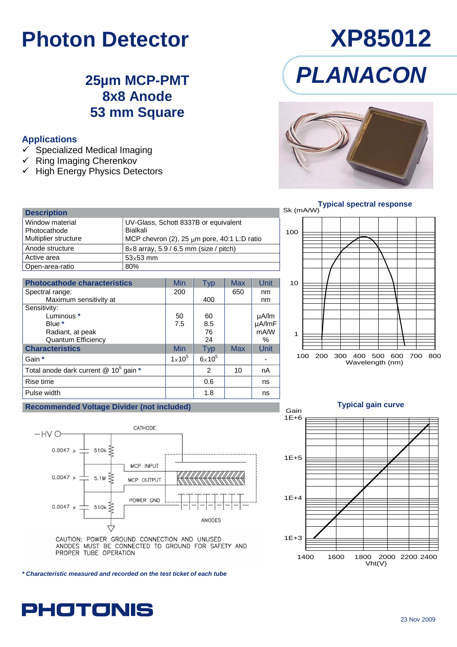# **Photon Detector XP85012**

### **25µm MCP-PMT 8x8 Anode 53 mm Square**

### **Applications**

- $\checkmark$  Specialized Medical Imaging
- $\checkmark$  Ring Imaging Cherenkov
- $\checkmark$  High Energy Physics Detectors

# *PLANACON*





### **Description** Window material Photocathode Multiplier structure UV-Glass, Schott 8337B or equivalent Bialkali MCP chevron (2), 25  $\mu$ m pore, 40:1 L:D ratio Anode structure  $8 \times 8$  array, 5.9 / 6.5 mm (size / pitch) Active area  $\vert$  53×53 mm Open-area-ratio 80%

| <b>Photocathode characteristics</b>                   | Min           | <b>Typ</b>    | Max | Unit            |
|-------------------------------------------------------|---------------|---------------|-----|-----------------|
| Spectral range:                                       | 200           |               | 650 | nm              |
| Maximum sensitivity at                                |               | 400           |     | nm              |
| Sensitivity:                                          |               |               |     |                 |
| Luminous *                                            | 50            | 60            |     | µA/lm<br>µA/lmF |
| Blue *                                                | 7.5           | 8.5           |     |                 |
| Radiant, at peak                                      |               | 76            |     | mA/W            |
| <b>Quantum Efficiency</b>                             |               | 24            |     | %               |
| <b>Characteristics</b>                                | Min           | <b>Typ</b>    | Max | Unit            |
| Gain *                                                | $1\times10^5$ | $6\times10^5$ |     |                 |
| Total anode dark current $@$ 10 <sup>5</sup> gain $*$ |               | 2             | 10  | nA              |
| Rise time                                             |               | 0.6           |     | ns              |
| Pulse width                                           |               | 1.8           |     | ns              |

### **Recommended Voltage Divider (not included)**



ANODES MUST BE CONNECTED TO GROUND FOR SAFETY AND PROPER TUBE OPERATION

*\* Characteristic measured and recorded on the test ticket of each tube*

## **PHOTONIS**